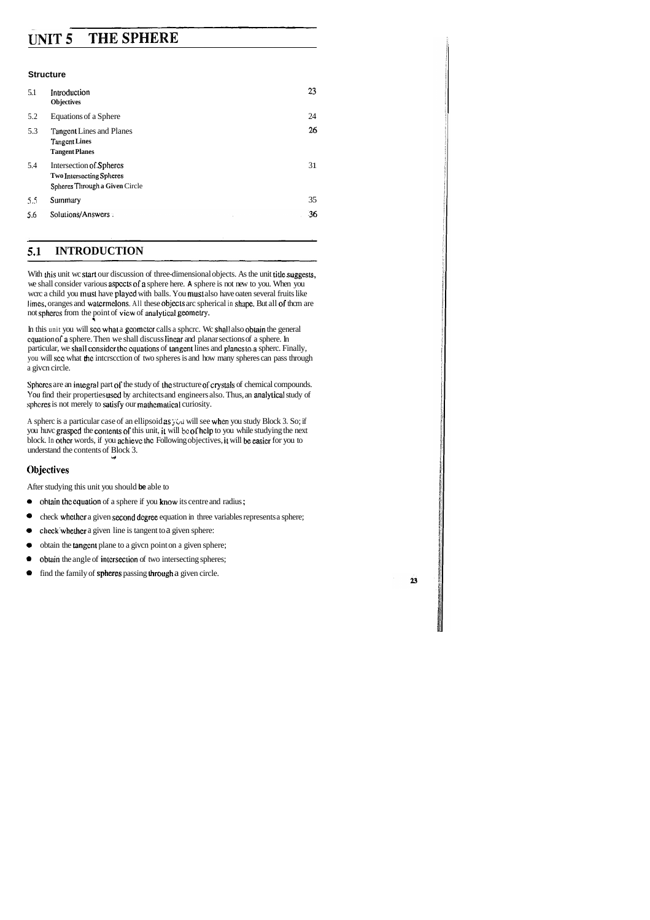### UNIT<sub>5</sub> THE SPHERE

### **Structure**

| 5.1 | Introduction<br><b>Objectives</b>                                                     | 23 |
|-----|---------------------------------------------------------------------------------------|----|
| 5.2 | Equations of a Sphere                                                                 | 24 |
| 5.3 | <b>Tangent Lines and Planes</b><br><b>Tangent Lines</b><br><b>Tangent Planes</b>      | 26 |
| 5.4 | Intersection of Spheres<br>Two Intersecting Spheres<br>Spheres Through a Given Circle | 31 |
| 5.5 | Summary                                                                               | 35 |
| 5.6 | Solutions/Answers :                                                                   | 36 |

## **5.1 INTRODUCTION**

With this unit wc start our discussion of three-dimensional objects. As the unit title suggests, we shall consider various aspects of a sphere here. A sphere is not new to you. When you wcrc a child you musl. have playcd with balls. You must also have oaten several fruits like limes, oranges and watermelons. All these objects arc spherical in shape. But all of them are not spheres from the point of view of analytical geometry. **1** 

In this unit you will scc whal a gcomclcr calls a sphcrc. Wc shall also oblain the general cqualion ol'a sphere. Then we shall discuss linear and planar sections of a sphere. In particular, we shall consider the equations of tangent lines and planes to a sphere. Finally, you will scc what thc intcrscction of two spheres is and how many spheres can pass through a givcn circle.

Spheres are an integral part of the study of the structure of crystals of chemical compounds. You find their properties used by architects and engineers also. Thus, an analytical study of sphcres is not merely to satisfy our mathematical curiosity.

A spherc is a particular case of an ellipsoid as  $\frac{1}{2}$   $\frac{1}{2}$  will see when you study Block 3. So; if you huvc grasped the contents or this unit, it will **bc** oT hclp to you while studying the next block. In other words, if you achieve the Following objectives, it will be easier for you to understand the contents of Block 3.

## **0 bjectives**

After studying this unit you should **be** able to

- $\bullet$  obtain the equation of a sphere if you know its centre and radius;
- check whether a given second degree equation in three variables represents a sphere;
- $\bullet$  check whether a given line is tangent to a given sphere:
- **0** obtain the tangcnt plane to a givcn point on a given sphere;
- **0** obtain the angle of intersection of two intersecting spheres;
- $\bullet$  find the family of **spheres** passing **through** a given circle.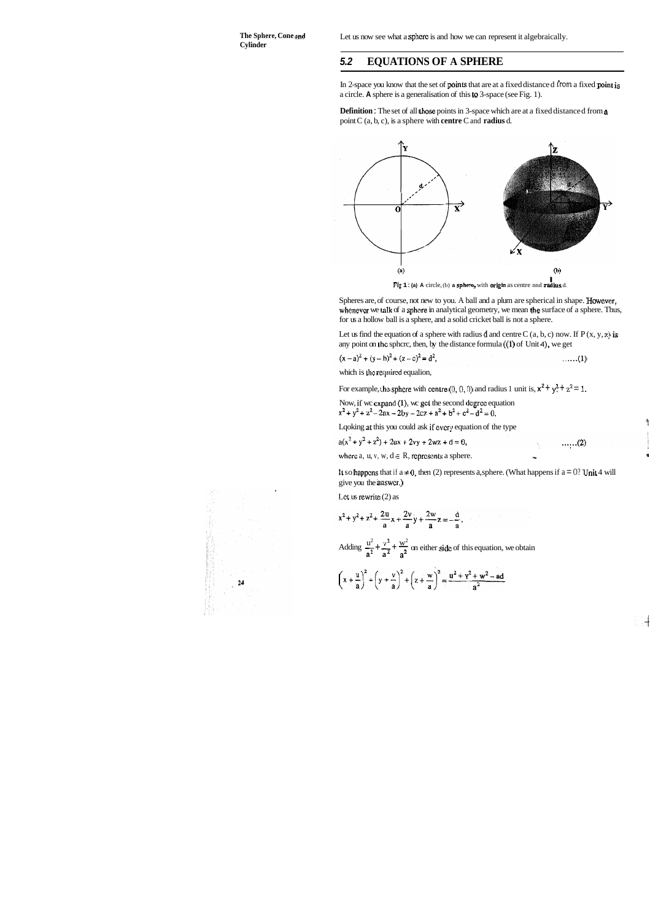**The Sphere, Cone and Cylinder** 

Let us now see what a sphere is and how we can represent it algebraically.

# **5.2 EQUATIONS OF A SPHERE**

In 2-space you know that the set of **points** that are at a fixed distance d from a fixed **point is** a circle. **A** sphere is a generalisation of this **to** 3-space (see Fig. 1).

**Definition :** The set of all **those** points in 3-space which are at a fixed distance d from a point C (a, b, c), is a sphere with **centre** C and **radius** d.

whenever we talk of a sphere in analytical geometry, we mean the surface of a sphere. Thus, for us a hollow ball is a sphere, and a solid cricket ball is not a sphere.

Let us find the equation of a sphere with radius **d** and centre C  $(a, b, c)$  now. If  $P(x, y, z)$  is any point on the sphere, then, by the distance formula  $((1)$  of Unit 4), we get

$$
(x-a)^2 + (y-b)^2 + (z-c)^2 = d^2,
$$
 ....(1)

which is the required equalion,

For example, the sphere with centre  $(0, 0, 0)$  and radius 1 unit is,  $x^2 + y^2 + z^2 = 1$ .



Now, if wc cxpand (I), wc gcl the second dcgrcc equation  $x^2 + y^2 + z^2 - 2ax - 2by - 2cz + a^2 + b^2 + c^2 - d^2 = 0.$ 

Lqoking at this you could ask if every equation of the type

$$
a(x^2 + y^2 + z^2) + 2ux + 2vy + 2wz + d = 0,
$$

where  $a, u, v, w, d \in R$ , represents a sphere.

Spheres are, of course, not new to you. A ball and a plum are spherical in shape. However,

It so happens that if  $a \ne 0$ , then (2) represents a, sphere. (What happens if  $a = 0$ ? Unit 4 will give you the answcr.)

 $\dots\dots(2)$ 

 $\overline{\phantom{a}}$ 

Lct us rewrite  $(2)$  as

$$
x^{2}+y^{2}+z^{2}+\frac{2u}{a}x+\frac{2v}{a}y+\frac{2w}{a}z=-\frac{d}{a}.
$$

Adding 
$$
\frac{u^2}{a^2} + \frac{v^2}{a^2} + \frac{w^2}{a^2}
$$
 on either side of this equation, we obtain

$$
\left(x + \frac{u}{a}\right)^2 + \left(y + \frac{v}{a}\right)^2 + \left(z + \frac{w}{a}\right)^2 = \frac{u^2 + v^2 + w^2 - ad}{a^2}
$$

 $24$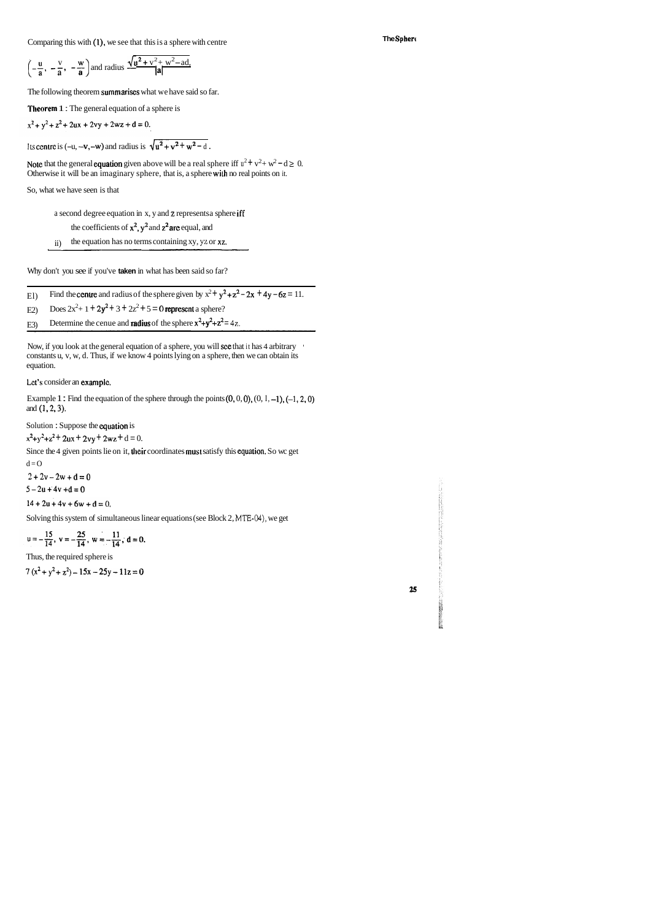Comparing this with (I), we see that this is a sphere with centre **The Spherc** 

$$
\left(-\frac{u}{a}, -\frac{v}{a}, -\frac{w}{a}\right)
$$
 and radius  $\frac{\sqrt{u^2 + v^2 + w^2 - ad}}{|a|}$ .

The following theorem summarises what we have said so far.

**Theorem 1:** The general equation of a sphere is

 $x^2 + y^2 + z^2 + 2ux + 2vy + 2wz + d = 0.$ 

lts centre is (-u, -v, -w) and radius is  $\sqrt{u^2 + v^2 + w^2 - d}$ .

Note that the general equation given above will be a real sphere iff  $u^2 + v^2 + w^2 - d \ge 0$ . Otherwise it will be an imaginary sphere, that is, a sphere with no real points on it.

a second degree equation in x, y and **z** represents a sphere iff the coefficients of  $x^2$ ,  $y^2$  and  $z^2$  are equal, and

So, what we have seen is that

Now, if you look at the general equation of a sphere, you will see that it has 4 arbitrary constants u, v, w, d. Thus, if we know 4 points lying on a sphere, then we can obtain its equation.

Let's consider an example.

Example 1 : Find the equation of the sphere through the points  $(0, 0, 0)$ ,  $(0, 1, -1)$ ,  $(-1, 2, 0)$ and (l,2,3).

ii) the equation has no terms containing xy, yz or xz.

Why don't you see if you've **taken** in what has been said so far?

El) Find the cenure and radius of the sphere given by  $x^2 + y^2 + z^2 - 2x + 4y - 6z = 11$ .

E2) Does  $2x^2 + 1 + 2y^2 + 3 + 2z^2 + 5 = 0$  represent a sphere?

E3) Determine the cenue and **radius** of the sphere  $x^2+y^2+z^2 = 4z$ .

Solution : Suppose the equation is

 $x^2+y^2+z^2$  + 2ux + 2vy + 2wz + d = 0.

Since the 4 given points lie on it, their coordinates must satisfy this equation. So wc get

 $d = O$ 

 $2 + 2v - 2w + d = 0$ 

 $5-2u+4v+d=0$ 

 $14 + 2u + 4v + 6w + d = 0$ .

Solving this system of simultaneous linear equations (see Block 2, MTE-W), we get

$$
u = -\frac{15}{14}
$$
,  $v = -\frac{25}{14}$ ,  $w = -\frac{11}{14}$ ,  $d = 0$ .

Thus, the required sphere is

 $7(x^2+y^2+z^2)-15x-25y-11z=0$ 

25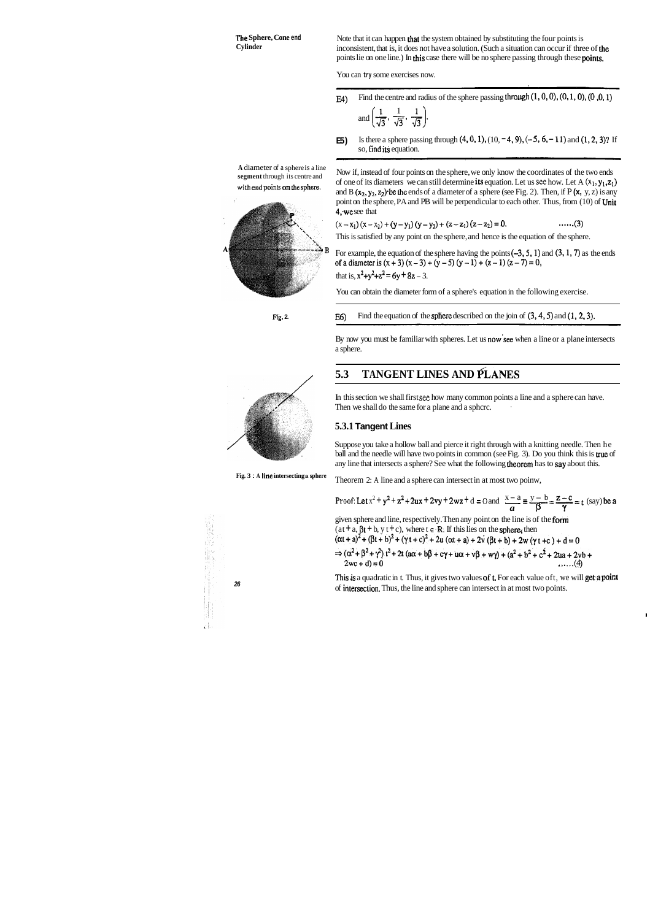**'rhe Sphere, Cone end Cylinder** 

Note that it can happen that the system obtained by substituting the four points is inconsistent, that is, it does not have a solution. (Such a situation can occur if three of the points lie on one line.) In this case there will be no sphere passing through these **points.** 

**A** diameter of a sphere is a line **segment** through its centre and Now if, instead of four points on the sphere, we only know the coordinates of the two ends segment through its centre and with end points on the sphere, of one of its diameters we can still determine its equation. Let us see how. Let A  $(x_1, y_1, z_1)$ and B  $(x_2, y_2, z_2)$  be the ends of a diameter of a sphere (see Fig. 2). Then, if P  $(x, y, z)$  is any





**Fig. 2. E6)** Find the equation of the spliere described on the join of  $(3, 4, 5)$  and  $(1, 2, 3)$ .

You can **try** some exercises now.

E4) Find the centre and radius of the sphere passing through  $(1, 0, 0)$ ,  $(0, 1, 0)$ ,  $(0, 0, 1)$ <br>and  $\left(\frac{1}{\sqrt{3}}, \frac{1}{\sqrt{3}}, \frac{1}{\sqrt{3}}\right)$ .

and 
$$
\left(\frac{1}{\sqrt{3}}, \frac{1}{\sqrt{3}}, \frac{1}{\sqrt{3}}\right)
$$
.

 $(x-x_1)(x-x_2)+(y-y_1)(y-y_2)+(z-z_1)(z-z_2)=0.$  ......(3) This is satisfied by any point on the sphere, and hence is the equation of the sphere.

of a diameter is  $(x + 3)(x-3) + (y-5)(y-1) + (z-1)(z-7) = 0$ ,

In this section we shall first **see** how many common points a line and a sphere can have. Then we shall do the same for a plane and a sphcrc.

Suppose you take a hollow ball and pierce it right through with a knitting needle. Then he ball and the needle will have two points in common (see Fig. 3). Do you think this is true of any line that intersects a sphere? See what the following theorem has to say about this.

**Fig. 3** : A **line intersecting a sphere** Theorem 2: A line and a sphere can intersect in at most two poinw,

4;we see that

that is,  $x^2+y^2+z^2=6y+8z-3$ .

**E5**) Is there a sphere passing through  $(4, 0, 1)$ ,  $(10, -4, 9)$ ,  $(-5, 6, -11)$  and  $(1, 2, 3)$ ? If so, find its equation.

point on the sphere, PA and PB will be perpendicular to each other. Thus, from (10) of Unit

For example, the equation of the sphere having the points  $(-3, 5, 1)$  and  $(3, 1, 7)$  as the ends

given sphere and line, respectively. Then any point on the line is of the form  $(at + a, \beta t + b, y t + c)$ , where  $t \in \mathbb{R}$ . If this lies on the **sphere** then  $(\alpha t+a)^2+(\beta t+b)^2+(\gamma t+c)^2+2u(\alpha t+a)+2v(\beta t+b)+2w(\gamma t+c)+d=0$ 

You can obtain the diameter form of a sphere's equation in the following exercise.

By now you must be familiar with spheres. Let us now'see when a line or a plane intersects a sphere.

# **5.3 TANGENT LINES AND FLANES**

## **5.3.1 Tangent Lines**

ball and the needle will have two points in common (see Fig. 5). Do you think this is true of  
any line that intersects a sphere? See what the following **theorem** has to **say** about this.  
Theorem 2: A line and a sphere can intersect in at most two pointw,  
Proof: Let 
$$
x^2 + y^2 + z^2 + 2ux + 2vy + 2wz + d = 0
$$
 and  $\frac{x - a}{a} = \frac{y - b}{\beta} = \frac{z - c}{\gamma} = t$  (say) be a

$$
\Rightarrow (\alpha^2 + \beta^2 + \gamma^2) t^2 + 2t (\alpha \alpha + b \beta + c \gamma + u \alpha + v \beta + w \gamma) + (\alpha^2 + b^2 + c^2 + 2u \alpha + 2v b + 2w c + d) = 0
$$
...(4)

This is a quadratic in t. Thus, it gives two values of **t**. For each value oft, we will get a point of intersection. Thus, the line and sphere can intersect in at most two points.

I



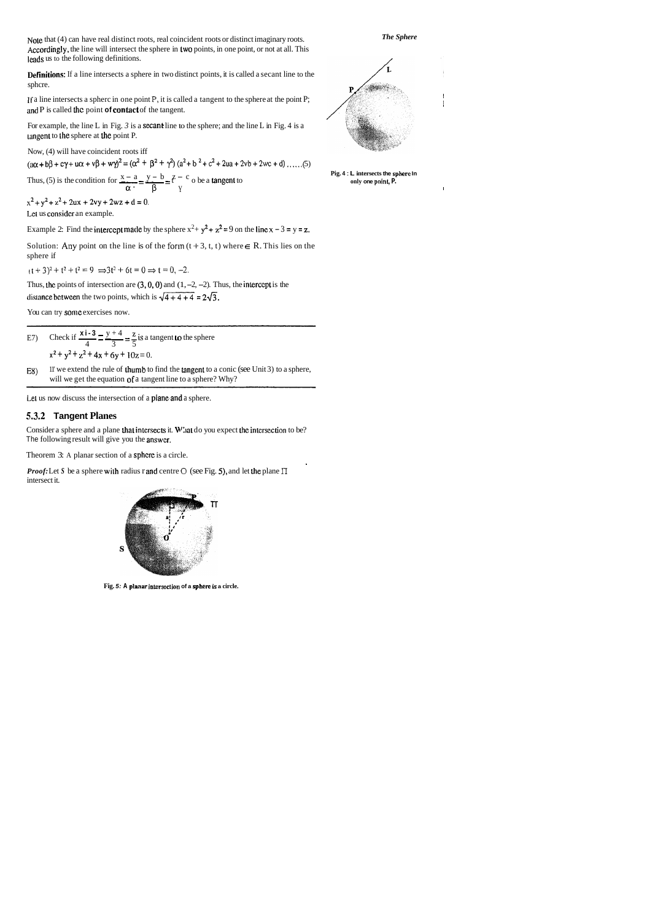Note that (4) can have real distinct roots, real coincident roots or distinct imaginary roots. Accordingly, the line will intersect the sphere in two points, in one point, or not at all. This leads us to the following definitions.

Definitions: If a line intersects a sphere in two distinct points, it is called a secant line to the sphcre.

If a line intersects a spherc in one point **P,** it is called a tangent to the sphere at the point P; and P is called thc point **of** contact of the tangent.

For example, the line L in Fig. 3 is a secant line to the sphere; and the line L in Fig. 4 is a Langent to the sphere at the point P.

Solution: Any point on the line is of the form  $(t + 3, t, t)$  where  $\in R$ . This lies on the sphere if

 $(t+3)^2 + t^2 + t^2 = 9 \implies 3t^2 + 6t = 0 \implies t = 0, -2.$ 

Thus, the points of intersection are  $(3,0,0)$  and  $(1,-2,-2)$ . Thus, the intercept is the distance between the two points, which is  $\sqrt{4+4+4} = 2\sqrt{3}$ .

You can try some exercises now.

**E7)** Check if  $\frac{\mathbf{x} \cdot \mathbf{i} - \mathbf{3}}{4} = \frac{\mathbf{y} + 4}{3} = \frac{\mathbf{z}}{5}$  is a tangent **to** the sphere  $x^2 + y^2 + z^2 + 4x + 6y + 10z = 0.$ 

E8) 11' we extend the rule of thumb to find the tangent to a conic (see Unit 3) to a sphere, will we get the equation of a tangent line to a sphere? Why?

Let us now discuss the intersection of a plane and a sphere.

Now, (4) will have coincident roots iff

 $(a\alpha + b\beta + c\gamma + u\alpha + v\beta + w\gamma)^2 = (\alpha^2 + \beta^2 + \gamma^2)(a^2 + b^2 + c^2 + 2u\alpha + 2v\delta + 2w\delta + d)$  ......(5)

x - a y - x - a y - b y - x - a y - b y - x - a tangent to be a tangent to  $(\mathbf{a}\alpha + \mathbf{b}\beta + \mathbf{c}\gamma + \mathbf{u}\alpha + \mathbf{v}\beta + \mathbf{w}\gamma)^2 = (\alpha^2 + \beta^2 + \gamma^2) (\mathbf{a}^2 + \mathbf{b}^2 + \mathbf{c}^2 + 2\mathbf{u}\mathbf{a} + 2\gamma)$ <br>Thus, (5) is the condition for

 $x^2 + y^2 + z^2 + 2ux + 2vy + 2wz + d = 0.$ 

Let us consider an example.

Example 2: Find the intercept made by the sphere  $x^2 + y^2 + z^2 = 9$  on the line  $x - 3 = y = z$ .

*Proof:* Let *S* be a sphere with radius r and centre O (see Fig. 5), and let the plane  $\Pi$ intersect it.



Fig. 5: A planar intersection of a sphere is a circle.

## **5.3.2 Tangent Planes**

Consider a sphere and a plane that intersects it. W', at do you expect the intersection to be? The following result will give you the answer.

Theorem 3: A planar section of a sphere is a circle.

*The Sphere* 



**Pig. 4** : **<sup>L</sup>intersects the sphere In only one palnt, P.** 

I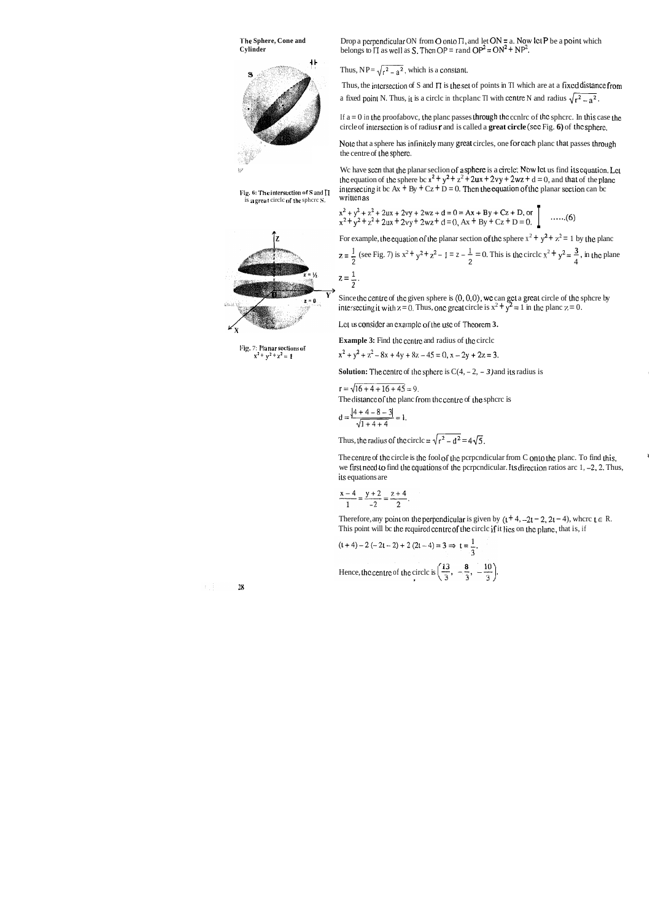### The Sphere, Cone and Cylinder



Fig. 6: The intersection of S and  $\Pi$ is a great circle of the sphere S.



Fig. 7: Planar sections of  $x^2 + y^2 + z^2 = 1$ 

Drop a perpendicular ON from O onto  $\Pi$ , and let ON = a. Now let P be a point which belongs to  $\Pi$  as well as S. Then OP = rand OP<sup>2</sup> =  $ON^2 + NP^2$ .

Thus,  $NP = \sqrt{r^2 - a^2}$ , which is a constant.

Thus, the intersection of S and  $\Pi$  is the set of points in  $\Pi$  which are at a fixed distance from a fixed point N. Thus, it is a circle in the plane TI with centre N and radius  $\sqrt{r^2 - a^2}$ .

If  $a = 0$  in the proof above, the plane passes through the centre of the sphere. In this case the circle of intersection is of radius  $r$  and is called a great circle (see Fig. 6) of the sphere.

Note that a sphere has infinitely many great circles, one for each planc that passes through the centre of the sphere.

We have seen that the planar section of a sphere is a circle. Now let us find its equation. Let the equation of the sphere be  $x^2 + y^2 + z^2 + 2ux + 2vy + 2wz + d = 0$ , and that of the plane intersecting it bc Ax + By + Cz + D = 0. Then the equation of the planar section can be written as

$$
x^{2} + y^{2} + z^{2} + 2ux + 2vy + 2wz + d = 0 = Ax + By + Cz + D, or
$$
  

$$
x^{2} + y^{2} + z^{2} + 2ux + 2vy + 2wz + d = 0, Ax + By + Cz + D = 0.
$$
 (6)

For example, the equation of the planar section of the sphere  $x^2 + y^2 + z^2 = 1$  by the planc

$$
z = \frac{1}{2} \text{ (see Fig. 7) is } x^2 + y^2 + z^2 - 1 = z - \frac{1}{2} = 0. \text{ This is the circle } x^2 + y^2 = \frac{3}{4}, \text{ in the plane}
$$
\n
$$
z = \frac{1}{2}.
$$

Since the centre of the given sphere is  $(0, 0, 0)$ , we can get a great circle of the sphere by intersecting it with  $z = 0$ . Thus, one great circle is  $x^2 + y^2 = 1$  in the plane  $z = 0$ .

Let us consider an example of the use of Theorem 3.

**Example 3:** Find the centre and radius of the circle

$$
x^2 + y^2 + z^2 - 8x + 4y + 8z - 45 = 0, x - 2y + 2z = 3.
$$

**Solution:** The centre of the sphere is  $C(4, -2, -3)$  and its radius is

 $r = \sqrt{16 + 4 + 16 + 45} = 9$ . The distance of the plane from the centre of the sphere is

$$
d = \frac{\sqrt{4+4-8}-3}{\sqrt{1+4+4}} = 1.
$$

 $\mathbf{Z}% _{0}$ 

Thus, the radius of the circle =  $\sqrt{r^2 - d^2} = 4\sqrt{5}$ .

The centre of the circle is the fool of the perpendicular from C onto the plane. To find this, we first need to find the equations of the perpendicular. Its direction ratios are  $1, -2, 2$ . Thus, its equations are

$$
\frac{x-4}{1} = \frac{y+2}{-2} = \frac{z+4}{2}.
$$

Therefore, any point on the perpendicular is given by  $(t + 4, -2t - 2, 2t - 4)$ , where  $t \in R$ . This point will be the required centre of the circle if it lies on the plane, that is, if

$$
(t+4) - 2(-2t-2) + 2(2t-4) = 3 \Rightarrow t = \frac{1}{3}.
$$
  
Hence, the centre of the circle is  $\left(\frac{13}{3}, -\frac{8}{3}, -\frac{10}{3}\right)$ 

an B

 $28\,$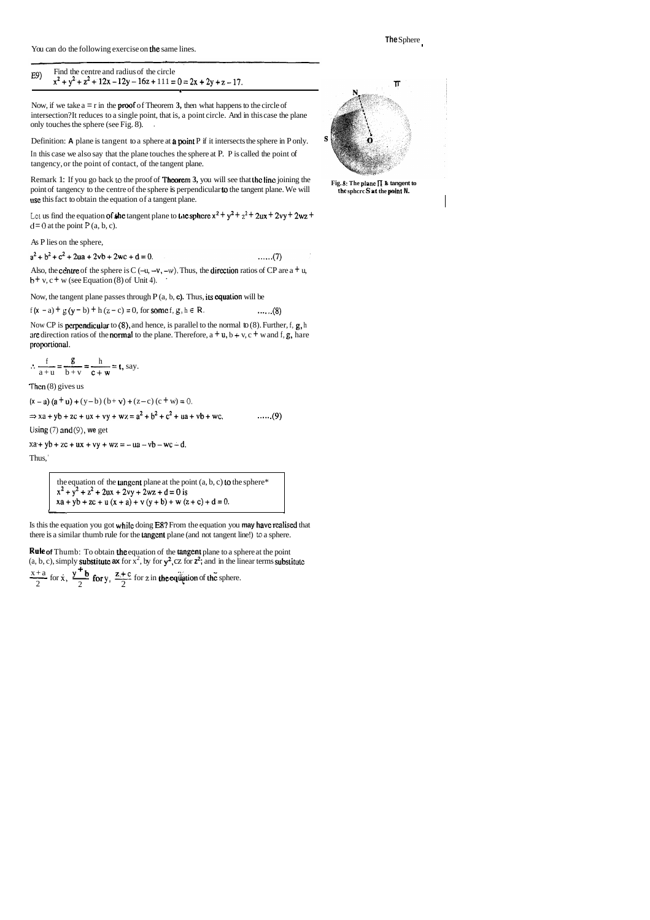You can do the following exercise on the same lines.

E9) Find the centre and radius of the circle  $x^{2} + y^{2} + z^{2} + 12x - 12y - 16z + 111 = 0 = 2x + 2y + z - 17.$ 

**r** 

Definition: A plane is tangent to a sphere at **a point** P if it intersects the sphere in P only.

Now, if we take  $a = r$  in the **proof** of Theorem 3, then what happens to the circle of intersection? It reduces to a single point, that is, a point circle. And in this case the plane only touches the sphere (see Fig. 8). .

In this case we also say that the plane touches the sphere at P. P is called the point of tangency, or the point of contact, of the tangent plane.

Remark 1: If you go back **to** the proof of Theorem **3,** you will see that thc tinc joining the point of tangency to the centre of the sphere is perpendicular **to** the tangent plane. We will use this fact to obtain the equation of a tangent plane.

Let us find the equation of the tangent plane to Lue sphere  $x^2 + y^2 + z^2 + 2ux + 2vy + 2wz + 2wz$  $d = 0$  at the point  $P(a, b, c)$ .

Now CP is **perpendicular** to  $(8)$ , and hence, is parallel to the normal to  $(8)$ . Further, f, g, h are direction ratios of the **normal** to the plane. Therefore,  $a + u$ ,  $b + v$ ,  $c + w$  and f, g, hare proportional.

 $xa + yb + zc + ux + vy + wz = -ua - vb - wc - d.$ Thus, '

the equation of the **tangent** plane at the point  $(a, b, c)$  to the sphere\*  $x^2 + y^2 + z^2 + 2ux + 2vy + 2wz + d = 0$  is (8) gives us<br>
(8) gives us<br>
(8) gives us<br>
(8) gives us<br>
(9) gives us<br>
(9) gives us<br>
(7) and (9), we get<br>
(7) and (9), we get<br>
b+ zc + ux + vy + wz = - ua - v<br>
(1) the equation of the tangent pl<br>  $x^2 + y^2 + z^2 + 2ux + 2vy + 2w$ <br>  $xa + yb + zc + u(x + a) + v(y + b) + w(z + c) + d = 0.$ 

As P lies on the sphere,

Is this the equation you got while doing E8? From the equation you **may have realised** that there is a similar thumb rule for the langcnt plane (and not tangent line!) **to** a sphere.

Rule **of** Thumb: To obtain the equation of the tangent plane to a sphere at the point (a, b, c), simply **substitute ax** for  $\mathbf{x}^2$ , by for  $\mathbf{y}^2$ , cz for  $\mathbf{z}^2$ ; and in the linear terms substitute there is a similar thumb rule for the **tangent** plane (and not tangent line **Rule of** Thumb: To obtain **the** equation of the **tangent** plane to a sph (a, b, c), simply **substitute ax** for  $x^2$ , by for  $y^2$ , cz for  $z^2$ 

$$
\therefore \frac{f}{a+u} = \frac{g}{b+v} = \frac{h}{c+w} = t, \text{ say.}
$$

Then  $(8)$  gives us

 $(x - a)(a + u) + (y - b)(b + v) + (z - c)(c + w) = 0.$ 

 $\Rightarrow$  xa + yb + zc + ux + vy + wz =  $a^2 + b^2 + c^2 + ua + vb + wc$ . ......(9)

llsing (7) and **(9), we** get

**1** 

 $a^2 + b^2 + c^2 + 2ua + 2vb + 2wc + d = 0.$  ......(7)<br>Also, the centre of the sphere is C (-u, -v, -w). Thus, the direction ratios of CP are a + u,  $b + v$ ,  $c + w$  (see Equation (8) of Unit 4).

Now, the tangent plane passes through P (a, b, c). Thus, its equation will be

 $f(x - a) + g(y - b) + h(z - c) = 0$ , for some f, g,  $h \in R$ . ......(8)



**the sphcrc S at the point N.**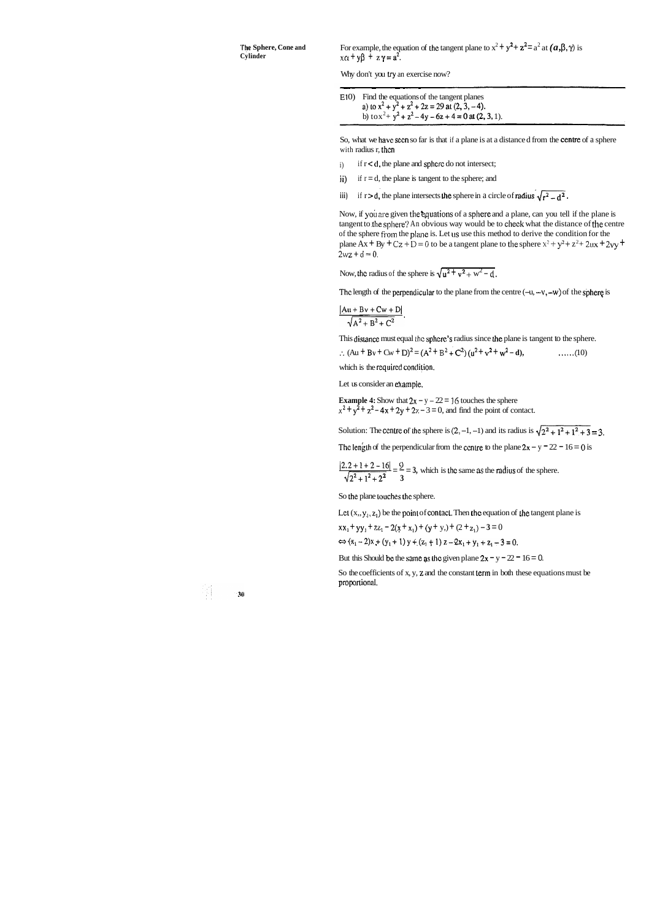**'The Sphere, Cone and Cylinder** 

For example, the equation of the tangent plane to  $x^2 + y^2 + z^2 = a^2$  at  $(a, \beta, \gamma)$  is  $x\alpha + y\beta + z\gamma = a^2$ .

Why don't you try an exercise now?

```
E10) Find the equations of the tangent planes
       a) to x^2 + y^2 + z^2 + 2z = 29 at (2, 3, -4).
        b) \cos^2 + y^2 + z^2 – 4y – 6z + 4 = 0 at (2, 3, 1).
```
So, what we have seen so far is that if a plane is at a distance d from the centre of a sphere with radius r, then

- i) if  $r < d$ , the plane and sphere do not intersect;
- ii) if  $r = d$ , the plane is tangent to the sphere; and
- **iii)** if  $r > d$ , the plane intersects the sphere in a circle of radius  $\sqrt{r^2 d^2}$ .

Now, if you are given the equations of a sphere and a plane, can you tell if the plane is tangent to the sphere? An obvious way would be to check what the distance of the centre of the sphere from the plane is. Let us use this method to derive the condition for the plane Ax + By + Cz +  $\dot{D} = 0$  to be a tangent plane to the sphere  $x^2 + y^2 + z^2 + 2ux + 2vy +$  $2wz + d = 0$ .

Now, the radius of the sphere is  $\sqrt{u^2 + v^2 + w^2} - d$ .

The length of the perpendicular to the plane from the centre  $(-u, -v, -w)$  of the sphere is

$$
\frac{\text{Au} + \text{Bv} + \text{Cw} + \text{D}}{\sqrt{\text{A}^2 + \text{B}^2 + \text{C}^2}}.
$$

This distance must equal the sphere's radius since the plane is tangent to the sphere.

:.  $(Au + Bv + Cw + D)^2 = (A^2 + B^2 + C^2) (u^2 + v^2 + w^2 - d),$  ......(10) which is the required condition.

So the coefficients of x, y, z and the constant term in both these equations must be proportional.



 $30$ 

Let us consider an ekample.

**Example 4:** Show that  $2x - y - 22 = 16$  touches the sphere **Example 4.** Show that  $2x - y - 22 = 10$  followed the sphere<br> $x^2 + y^2 + z^2 - 4x + 2y + 2z - 3 = 0$ , and find the point of contact.

Solution: The centre of the sphere is  $(2, -1, -1)$  and its radius is  $\sqrt{2^2 + 1^2 + 1^2 + 3} = 3$ .

The length of the perpendicular from the centre to the plane  $2x - y = 22 - 16 = 0$  is

 $\frac{|2.2+1+2-16|}{\sqrt{2^2+1^2+2^2}} = \frac{9}{3} = 3$ , which is the same as the radius of the sphere.

So the plane iouches thc sphere.

Let  $(x, y_1, z_1)$  be the point of contact. Then the equation of the tangent plane is

$$
xx_1 + yy_1 + zz_1 - 2(x + x_1) + (y + y_1) + (2 + z_1) - 3 = 0
$$

$$
\Leftrightarrow (x_1 - 2)x + (y_1 + 1)y + (z_1 + 1)z - 2x_1 + y_1 + z_1 - 3 = 0.
$$

But this Should be the same as the given plane  $2x - y - 22 = 16 = 0$ .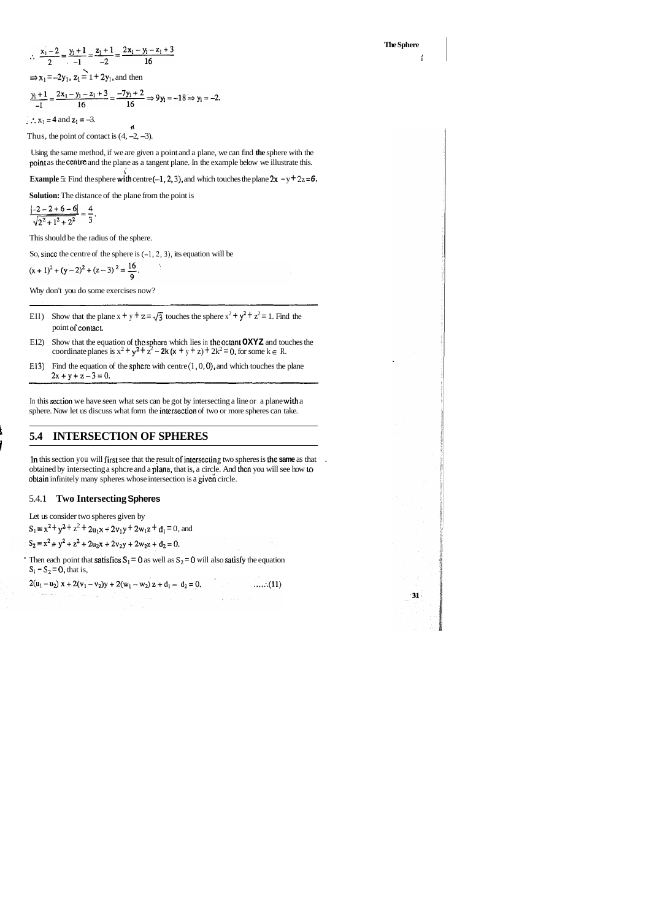Using the same method, if we are given a point and a plane, we can find **the** sphere with the poidt as the centre and the plane as a tangent plane. In the example below we illustrate this.

**Example 5:** Find the sphere with centre (-1, 2, 3), and which touches the plane  $2x - y + 2z = 6$ .

**Solution:** The distance of the plane from the point is

 $\frac{|-2-2+6-6|}{\sqrt{2^2+1^2+2^2}}=\frac{4}{3}.$ 

This should be the radius of the sphere.

So, since the centre of the sphere is  $(-1, 2, 3)$ , its equation will be

$$
(x + 1)^{2} + (y - 2)^{2} + (z - 3)^{2} = \frac{16}{9}.
$$

Why don't you do some exercises now?

- Ell) Show that the plane  $x + y + z = \sqrt{3}$  touches the sphere  $x^2 + y^2 + z^2 = 1$ . Find the point of contact.
- E12) Show that the equation of thc sphcre which lies in the ocunt **OXYZ** and touches the show that the equation of the sphere which hes in the octant  $\mathbf{O} \times \mathbf{1}$  and too coordinate planes is  $x^2 + y^2 + z^2 - 2k(x + y + z) + 2k^2 = 0$ , for some  $k \in \mathbb{R}$ .
- E13) Find the equation of the sphere with centre  $(1, 0, 0)$ , and which touches the plane  $2x + y + z - 3 = 0.$

In this section we have seen what sets can be got by intersecting a line or a plane with a sphere. Now let us discuss what form the intersection of two or more spheres can take.

In this section you will first see that the result of intersecting two spheres is the **same** as that . obtained by intersecting a sphcre and a plane, that is, a circle. And thcn you will see how **to**  obtain infinitely many spheres whose intersection is a given circle.

# <sup>k</sup>**5.4 INTERSECTION OF SPHERES <sup>1</sup>**

## 5.4.1 **Two Intersecting Spheres**

Let us consider two spheres given by

 $S_1 = x^2 + y^2 + z^2 + 2u_1x + 2v_1y + 2w_1z + d_1 = 0$ , and

 $S_2 = x^2 + y^2 + z^2 + 2u_2x + 2v_2y + 2w_2z + d_2 = 0.$ 

Then each point that **satisfies S<sub>1</sub> = 0** as well as  $S_2 = 0$  will also **satisfy** the equation  $S_1 - S_2 = 0$ , that is,

 $2(u_1 - u_2) x + 2(v_1 - v_2)y + 2(w_1 - w_2) z + d_1 - d_2 = 0$  ......(11)

**The Sphere** 

i

 $31$ 

$$
\therefore \ \frac{x_1 - 2}{2} = \frac{y_1 + 1}{-1} = \frac{z_1 + 1}{-2} = \frac{2x_1 - y_1 - z_1 + 3}{16}
$$

2  $-1$   $-2$ <br> $x_1 = -2y_1$ ,  $z_1 = 1 + 2y_1$ , and then

$$
\frac{y_1+1}{-1} = \frac{2x_1 - y_1 - z_1 + 3}{16} = \frac{-7y_1 + 2}{16} \Rightarrow 9y_1 = -18 \Rightarrow y_1 = -2.
$$

 $\therefore$  **x**<sub>1</sub> = **4** and **z**<sub>1</sub> = -3.

Thus, the point of contact is  $(4, -2, -3)$ .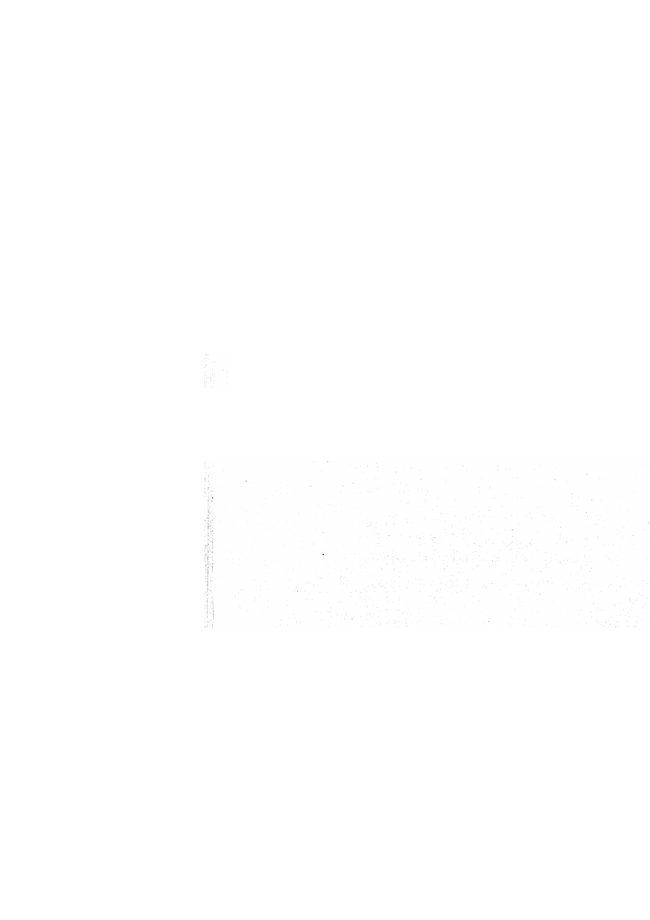# 

ШĤ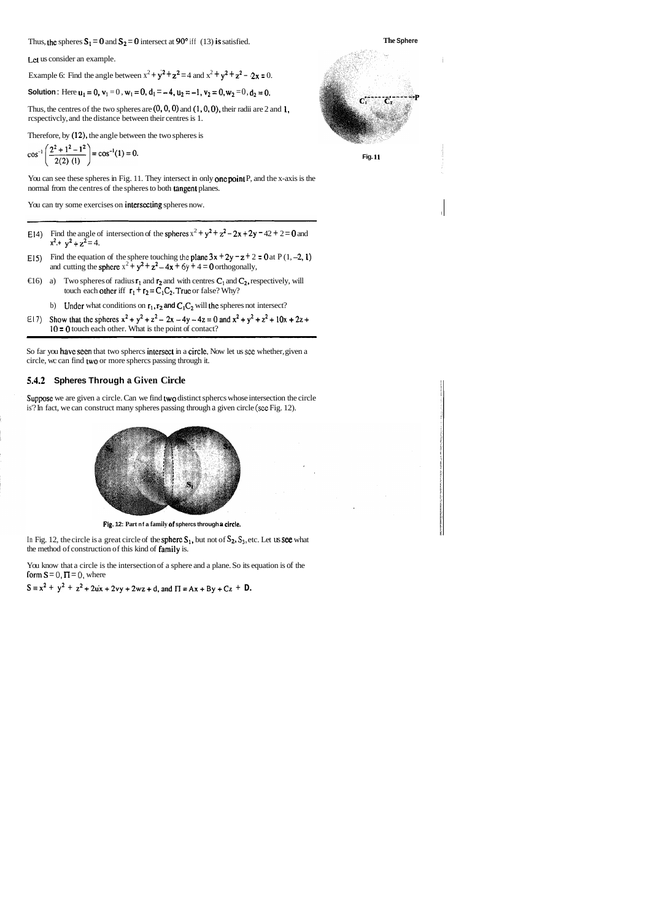### Thus, the spheres  $S_1 = 0$  and  $S_2 = 0$  intersect at 90<sup>°</sup> iff (13) is satisfied. **The Sphere The Sphere**

Let us consider an example.

Example 6: Find the angle between  $x^2 + y^2 + z^2 = 4$  and  $x^2 + y^2 + z^2 - 2x = 0$ .

**Solution :** Here  $u_1 = 0$ ,  $v_1 = 0$ ,  $w_1 = 0$ ,  $d_1 = -4$ ,  $u_2 = -1$ ,  $v_2 = 0$ ,  $w_2 = 0$ ,  $d_2 = 0$ .

Thus, the centres of the two spheres are  $(0, 0, 0)$  and  $(1, 0, 0)$ , their radii are 2 and 1, rcspectivcly, and the distance between their centres is 1.

You can see these spheres in Fig. 11. They intersect in only **one point** P, and the x-axis is the normal from the centres of the spheres to both tangent planes.

You can try some exercises on intersecting spheres now.

Therefore, by (12), the angle between the two spheres is

$$
\cos^{-1}\left(\frac{2^2+1^2-1^2}{2(2)\ (1)}\right)=\cos^{-1}(1)=0.
$$



- **E14)** Find the angle of intersection of the spheres  $x^2 + y^2 + z^2 2x + 2y 42 + 2 = 0$  and  $x^2 + y^2 + z^2 = 4.$
- **E15)** Find the equation of the sphere touching the **plane**  $3x + 2y z + 2 = 0$  at  $P(1, -2, 1)$ and cutting the **sphere**  $x^2 + y^2 + z^2 - 4x + 6y + 4 = 0$  orthogonally,
- €16) a) Two spheres of radius  $\mathbf{r}_1$  and  $\mathbf{r}_2$  and with centres  $\mathbf{C}_1$  and  $\mathbf{C}_2$ , respectively, will touch each other iff  $r_1 + r_2 = C_1C_2$ . True or false? Why?
	- b) Under what conditions on  $r_1$ ,  $r_2$  and  $C_1C_2$  will the spheres not intersect?
- **E17)** Show that the spheres  $x^2 + y^2 + z^2 2x 4y 4z = 0$  and  $x^2 + y^2 + z^2 + 10x + 2z + 1$ 10 = 0 touch each other. What is the point of contact?

Suppose we are given a circle. Can we find two distinct spheres whose intersection the circle is'? In fact, we can construct many spheres passing through a given circle **(scc** Fig. 12).

In Fig. 12, the circle is a great circle of the sphere  $S_1$ , but not of  $S_2$ ,  $S_3$ , etc. Let us see what the method of construction of this kind of family is.

You know that a circle is the intersection of a sphere and a plane. So its equation is of the form  $S = 0$ ,  $\Pi = 0$ , where

 $S \equiv x^2 + y^2 + z^2 + 2ux + 2vy + 2wz + d$ , and  $\Pi \equiv Ax + By + Cz + D$ .



So far you havc seen that two sphercs intersect in a circlc. Now let us *see* whether, given a circle, wc can find LWO or more sphercs passing through it.

## **5.4.2 Spheres Through a Given Circle**

/I



**Fig, 12: Part nf a family of sphercs through n clrcle.**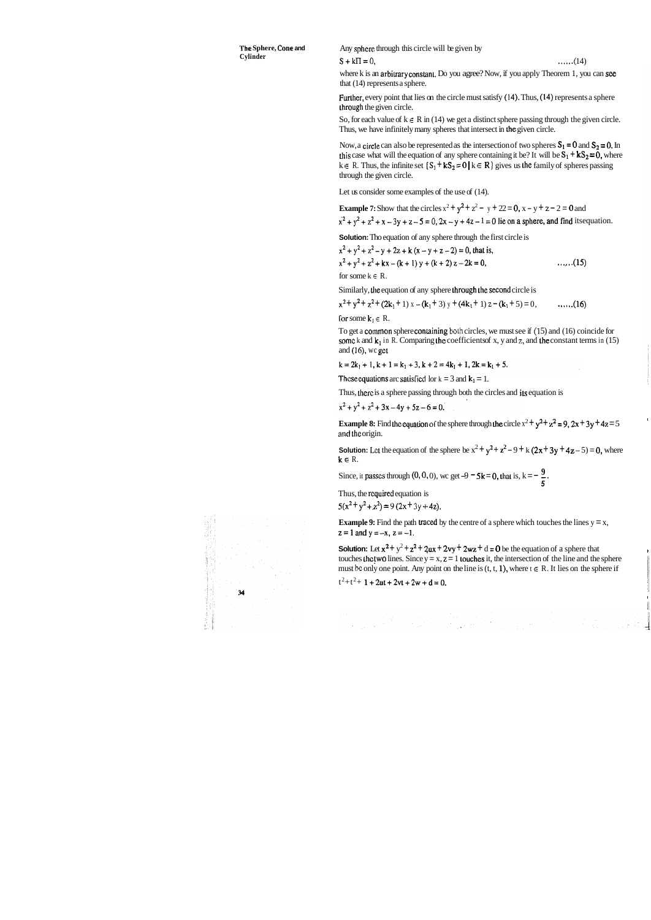| The Sphere, Cone and |  |
|----------------------|--|
| Cylinder             |  |

Any sphere through this circle will be given by

 $S + kT = 0,$  .......(14)

where k is an arbitrary constant. Do you agree? Now, if you apply Theorem 1, you can see that (14) represents a sphere.

Further, every point that lies on the circle must satisfy (14). Thus, (14) represents a sphere lhrough the given circle.

So, for each value of  $k \in R$  in (14) we get a distinct sphere passing through the given circle. Thus, we have infinitely many spheres that intersect in the given circle.

Now, a circle can also be represented as the intersection of two spheres  $S_1 = 0$  and  $S_2 = 0$ . In this case what will the equation of any sphere containing it be? It will be  $S_1 + kS_2 = 0$ , where  $k \in \mathbb{R}$ . Thus, the infinite set  $[S_1 + kS_2 = 0]$   $k \in \mathbb{R}$  arrives us the family of spheres passing through the given circle.

To get a cornmon sphere containing **bolh** circles, we must see if **(I** 5) and (16) coincide for some k and  $k_1$  in R. Comparing the coefficients of x, y and z, and the constant terms in (15) and  $(16)$ , we get

 $k = 2k_1 + 1$ ,  $k + 1 = k_1 + 3$ ,  $k + 2 = 4k_1 + 1$ ,  $2k = k_1 + 5$ .

These equations arc satisfied lor  $k = 3$  and  $k_1 = 1$ .

Thus, there is a sphere passing through both the circles and its equation is

$$
x^2 + y^2 + z^2 + 3x - 4y + 5z - 6 = 0.
$$

Let us consider some examples of the use of (14).

**Example 7:** Show that the circles  $x^2 + y^2 + z^2 - y + 22 = 0$ ,  $x - y + z - 2 = 0$  and  $x^{2} + y^{2} + z^{2} + x - 3y + z - 5 = 0$ ,  $2x - y + 4z - 1 = 0$  lie on a sphere, and find its equation.

**Solution:** Tho equation of any sphere through the first circle is

**Example 8:** Find the equation of the sphere through the circle  $x^2 + y^2 + z^2 = 9$ ,  $2x + 3y + 4z = 5$ **2nd** thc origin.

**Solution:** Let the equation of the sphere be  $x^2 + y^2 + z^2 - 9 + k(2x + 3y + 4z - 5) = 0$ , where  $k \in R$ .

Since, it passes through  $(0, 0, 0)$ , wc get  $-9 = 5k = 0$ , that is,  $k = -\frac{9}{5}$ .

Thus, the rcquired equation is  $5(x^2 + y^2 + z^2) = 9(2x + 3y + 4z).$ 

**Example 9:** Find the path traced by the centre of a sphere which touches the lines  $y = x$ ,  $z = 1$  and  $y = -x$ ,  $z = -1$ .

**Solution:** Let  $x^2 + y^2 + z^2 + 2ux + 2vy + 2wz + d = 0$  be the equation of a sphere that touches the two lines. Since  $y = x$ ,  $z = 1$  touches it, the intersection of the line and the sphere must be only one point. Any point on the line is  $(t, t, 1)$ , where  $t \in R$ . It lies on the sphere if

$$
x^{2} + y^{2} + z^{2} - y + 2z + k(x - y + z - 2) = 0, \text{ that is,}
$$
  

$$
x^{2} + y^{2} + z^{2} + kx - (k + 1)y + (k + 2)z - 2k = 0,
$$
 .......(15)

for some  $k \in R$ .

Similarly, the equation of any sphere through the second circle is

$$
x^2 + y^2 + z^2 + (2k_1 + 1) x - (k_1 + 3) y + (4k_1 + 1) z - (k_1 + 5) = 0,
$$
 ......(16)

for some  $k_1 \in R$ .

I 1

 $t^2+t^2+1+2ut+2vt+2w+d=0.$ 

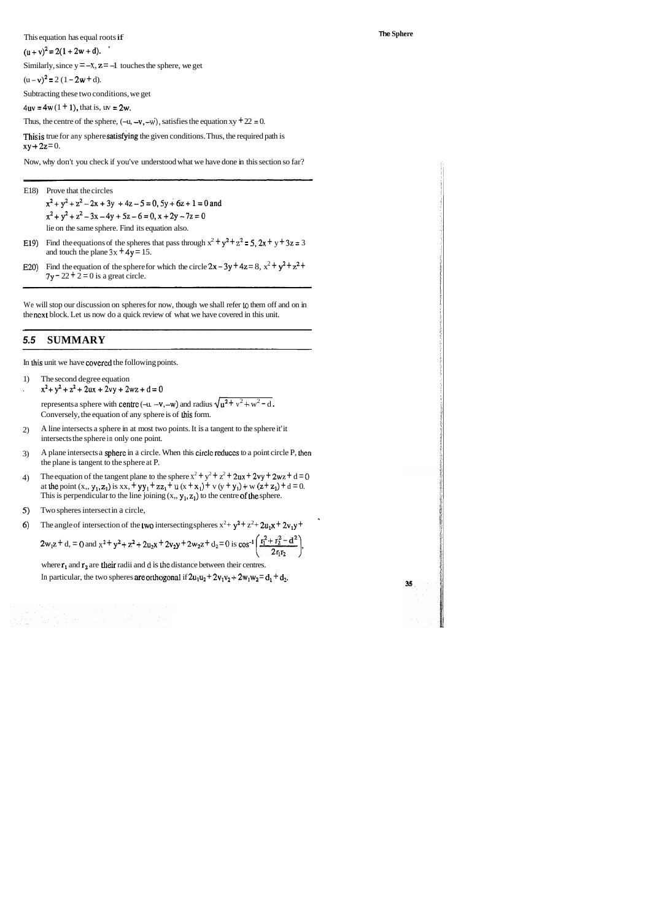This equation has equal roots if

 $(u + v)^2 = 2(1 + 2w + d)$ .

Similarly, since  $y = -x$ ,  $z = -1$  touches the sphere, we get

 $(u - v)^2 = 2 (1 - 2w + d)$ .

This is true for any sphere satisfying the given conditions. Thus, the required path is  $xy + 2z = 0$ .

Subtracting these two conditions, we get

 $4uv = 4w(1 + 1)$ , that is,  $uv = 2w$ .

Thus, the centre of the sphere,  $(-u, -v, -w)$ , satisfies the equation xy  $+ 22 = 0$ .

 $x^2 + y^2 + z^2 - 2x + 3y + 4z - 5 = 0$ ,  $5y + 6z + 1 = 0$  and  $x^2 + y^2 + z^2 - 3x - 4y + 5z - 6 = 0, x + 2y - 7z = 0$ lie on the same sphere. Find its equation also.

- E19) Find the equations of the spheres that pass through  $x^2 + y^2 + z^2 = 5$ ,  $2x + y + 3z = 3$ and touch the plane  $3x + 4y = 15$ .
- E20) Find the equation of the sphere for which the circle  $2x 3y + 4z = 8$ ,  $x^2 + y^2 + z^2 + z^2$  $7y - 22 + 2 = 0$  is a great circle.

Now, why don't you check if you've understood what we have done in this section so far?

E18) Prove that the circles

- 1) The second degree equation
- $x^2 + y^2 + z^2 + 2ux + 2vy + 2wz + d = 0$

represents a sphere with centre  $(-u. -v, -w)$  and radius  $\sqrt{u^2 + v^2 + w^2 - d}$ . Conversely, the equation of any sphere is of this form.

- 2) A line intersects a sphere in at most two points. It is a tangent to the sphere it' it intersects the sphere in only one point.
- 3) A plane intersects a spherc in a circle. When this circlc reduccs to a point circle P, then the plane is tangent to the sphere at P.
- 4) The equation of the tangent plane to the sphere  $x^2 + y^2 + z^2 + 2ux + 2vy + 2wz + d = 0$ at the point  $(x_1, y_1, z_1)$  is  $xx_1 + yy_1 + zz_1 + u(x + x_1) + v(y + y_1) + w(z + z_1) + d = 0$ . This is perpendicular to the line joining  $(x, y_1, z_1)$  to the centre of the sphere.
- 5) Two spheres intersect in a circle,
- 6) The angle of intersection of the two intersecting spheres  $x^2 + y^2 + z^2 + 2u_1x + 2v_1y + z^2$

2w<sub>1</sub>z + d, = 0 and  $x^2$  +  $y^2$  +  $z^2$  + 2u<sub>2</sub>x + 2v<sub>2</sub>y + 2w<sub>2</sub>z + d<sub>2</sub> = 0 is cos<sup>-1</sup>  $\left(\frac{r_1^2 + r_2^2 - d^2}{2r_1r_2}\right)$ ,

where  $\mathbf{r}_1$  and  $\mathbf{r}_2$  are their radii and d is the distance between their centres. In particular, the two spheres are orthogonal if  $2u_1u_2 + 2v_1v_2 + 2w_1w_2 = d_1 + d_2$ .

35

We will stop our discussion on spheres for now, though we shall refer **to** them off and on in the ncxt block. Let us now do a quick review of what we have covered in this unit.

# **5.5 SUMMARY**

In his unit we have covercd the following points.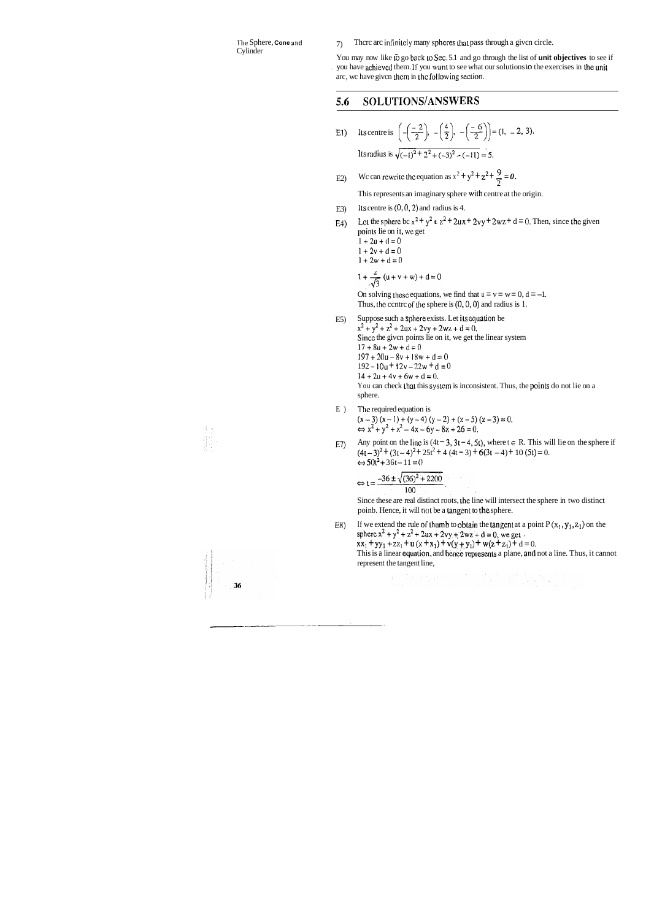The Sphere, Cone and Cylinder

There are infinitely many spheres that pass through a given circle.  $7)$ 

You may now like to go back to Sec. 5.1 and go through the list of unit objectives to see if you have achieved them. If you want to see what our solutions to the exercises in the unit arc, we have given them in the following section.

#### 5.6 SOLUTIONS/ANSWERS

- Its centre is  $\left(-\left(-\frac{2}{2}\right), -\left(\frac{4}{2}\right), -\left(-\frac{6}{2}\right)\right) = (1, -2, 3).$  $E1)$ Its radius is  $\sqrt{(-1)^2 + 2^2 + (-3)^2 - (-11)} = 5$ .
- We can rewrite the equation as  $x^2 + y^2 + z^2 + \frac{9}{2} = 0$ .  $E2$

This represents an imaginary sphere with centre at the origin.

- Its centre is  $(0, 0, 2)$  and radius is 4.  $E3$
- Let the sphere be  $x^2 + y^2 + z^2 + 2ux + 2vy + 2wz + d = 0$ . Then, since the given  $E4$ ) points lie on it, we get
	- $1 + 2u + d = 0$  $1 + 2v + d = 0$
	- $1 + 2w + d = 0$

$$
1 + \frac{2}{\sqrt{3}} (u + v + w) + d = 0
$$

On solving these equations, we find that  $u = v = w = 0$ ,  $d = -1$ . Thus, the centre of the sphere is  $(0, 0, 0)$  and radius is 1.

- Suppose such a sphere exists. Let its equation be  $E5$  $x^{2} + y^{2} + z^{2} + 2ux + 2vy + 2wz + d = 0.$ Since the given points lie on it, we get the linear system  $17 + 8u + 2w + d = 0$  $197 + 20u - 8v + 18w + d = 0$  $192 - 10u + 12v - 22w + d = 0$  $14 + 2u + 4v + 6w + d = 0$ . You can check that this system is inconsistent. Thus, the points do not lie on a sphere.
- The required equation is  $E$ )  $(x-3)(x-1)+(y-4)(y-2)+(z-5)(z-3)=0.$ <br>  $\Leftrightarrow x^2+y^2+z^2-4x-6y-8z+26=0.$
- Any point on the line is  $(4t-3, 3t-4, 5t)$ , where  $t \in R$ . This will lie on the sphere if  $E7$  $(4t-3)^{2}$  +  $(3t-4)^{2}$  +  $25t^{2}$  + 4  $(4t-3)$  + 6(3t - 4) + 10 (5t) = 0.  $\Leftrightarrow 50t^2 + 36t - 11 = 0$

$$
\Leftrightarrow t = \frac{-36 \pm \sqrt{(36)^2 + 2200}}{100}.
$$

Since these are real distinct roots, the line will intersect the sphere in two distinct poinb. Hence, it will not be a tangent to the sphere.

If we extend the rule of thumb to obtain the tangent at a point  $P(x_1, y_1, z_1)$  on the  $E8)$ sphere  $x^2 + y^2 + z^2 + 2ux + 2vy + 2wz + d = 0$ , we get.  $xx_1 + yy_1 + zz_1 + u(x + x_1) + v(y + y_1) + w(z + z_1) + d = 0.$ 

This is a linear equation, and hence represents a plane, and not a line. Thus, it cannot represent the tangent line,

> $\label{eq:1} \begin{array}{l} \left\langle \mathcal{N}_{\alpha} \right\rangle = \left\langle \mathcal{N}_{\alpha} \right\rangle \left\langle \mathcal{N}_{\alpha} \right\rangle = \left\langle \mathcal{N}_{\alpha} \right\rangle \left\langle \mathcal{N}_{\alpha} \right\rangle \left\langle \mathcal{N}_{\alpha} \right\rangle \left\langle \mathcal{N}_{\alpha} \right\rangle \left\langle \mathcal{N}_{\alpha} \right\rangle \left\langle \mathcal{N}_{\alpha} \right\rangle \left\langle \mathcal{N}_{\alpha} \right\rangle \left\langle \mathcal{N}_{\alpha} \right\rangle \left\langle \mathcal{N}_{\alpha} \right\rangle$  $\mathcal{O}(\log n)$  , we can be a  $\mathcal{O}(\log n)$



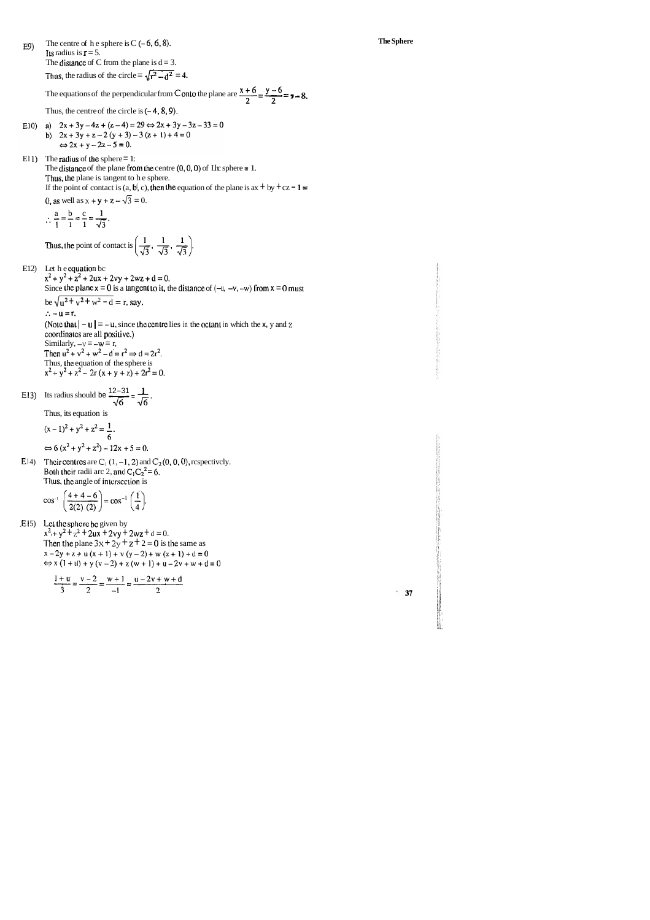The centre of h e sphere is  $C$  (-6, 6, 8).  $E9)$ Its radius is  $r = 5$ . The **distance** of C from the plane is  $d = 3$ . Thus, the radius of the circle =  $\sqrt{r^2 - d^2} = 4$ . The equations of the perpendicular from C onto the plane are  $\frac{x+6}{2} = \frac{y-6}{2} = -8$ . Thus, the centre of the circle is  $(-4, 8, 9)$ . a)  $2x + 3y - 4z + (z - 4) = 29 \Leftrightarrow 2x + 3y - 3z - 33 = 0$  $E10$ b)  $2x + 3y + z - 2(y + 3) - 3(z + 1) + 4 = 0$  $\Leftrightarrow 2x + y - 2z - 5 = 0.$ E11) The radius of the sphere = 1: The distance of the plane from the centre  $(0, 0, 0)$  of Il ts sphere = 1. Thus, the plane is tangent to he sphere. If the point of contact is (a, b, c), then the equation of the plane is ax  $+$  by  $+cz-1=$ 0, as well as  $x + y + z - \sqrt{3} = 0$ .  $\therefore \frac{a}{1} = \frac{b}{1} = \frac{c}{1} = \frac{1}{\sqrt{3}}.$ Thus, the point of contact is  $\left(\frac{1}{\sqrt{3}}, \frac{1}{\sqrt{3}}, \frac{1}{\sqrt{3}}\right)$ .  $E12$ ) Let he equation be  $x^2 + y^2 + z^2 + 2ux + 2vy + 2wz + d = 0.$ Since the plane  $x = 0$  is a tangent to it, the distance of  $(-u, -v, -w)$  from  $x = 0$  must be  $\sqrt{u^2 + v^2 + w^2 - d} = r$ , say.  $\therefore -u = r.$ (Note that  $|-u| = -u$ , since the centre lies in the octant in which the x, y and z coordinates are all positive.) Similarly,  $-v = -w = r$ , Then  $u^2 + v^2 + w^2 - d = r^2 \Rightarrow d = 2r^2$ . Thus, the equation of the sphere is  $x^{2} + y^{2} + z^{2} - 2r(x + y + z) + 2r^{2} = 0.$ 

E13) Its radius should be 
$$
\frac{12-31}{\sqrt{6}} = \frac{1}{\sqrt{6}}
$$
.

Thus, its equation is

 $(x-1)^2 + y^2 + z^2 = \frac{1}{6}$ .

$$
\Leftrightarrow 6(x^2 + y^2 + z^2) - 12x + 5 = 0.
$$

E14) Their centres are  $C_1$  (1, -1, 2) and  $C_2$  (0, 0, 0), respectively. Both their radii arc 2, and  $C_1C_2^2 = 6$ . Thus, the angle of intersection is

$$
\cos^{-1}\left(\frac{4+4-6}{2(2)\cdot(2)}\right)=\cos^{-1}\left(\frac{1}{4}\right).
$$

 $E15$  Let<sub>1</sub>the sphere be given by  $x^2 + y^2 + z^2 + 2ux + 2vy + 2wz + d = 0.$ Then the plane  $3x + 2y + z + 2 = 0$  is the same as  $x-2y+z+u(x + 1) + v(y-2) + w(z + 1) + d = 0$  $\Leftrightarrow x(1+u) + y(v-2) + z(w+1) + u - 2v + w + d = 0$ 

$$
\frac{1+u}{3} = \frac{v-2}{2} = \frac{w+1}{-1} = \frac{u-2v+w+d}{2}
$$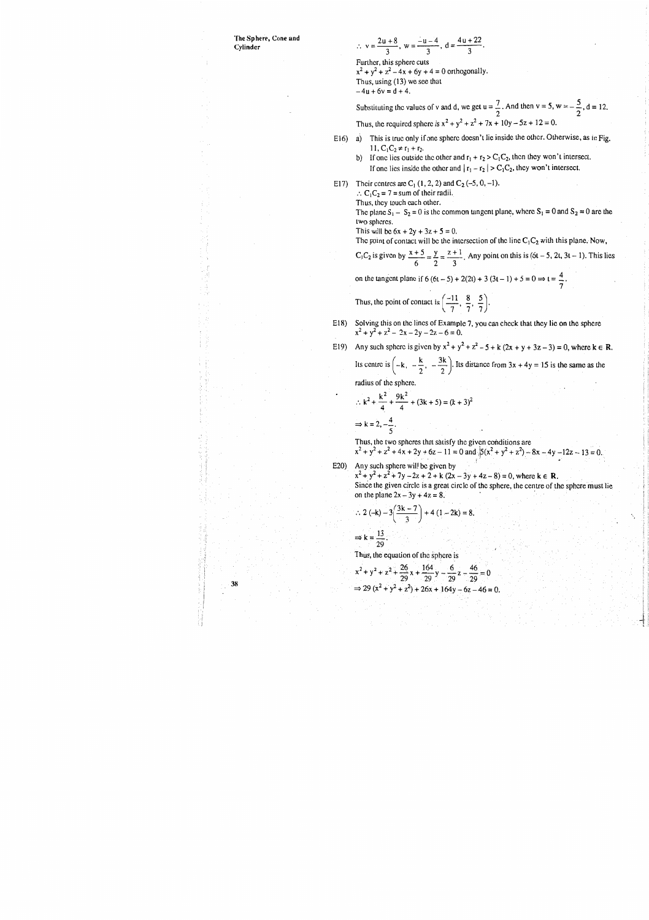# ∴  $v = \frac{2u + 8}{3}$ ,  $w = \frac{-u - 4}{3}$ ,  $d = \frac{4u + 22}{3}$ . Further, this sphere cuts  $x^{2} + y^{2} + z^{2} - 4x + 6y + 4 = 0$  orthogonally. Thus, using (13) we see that  $-4u + 6v = d + 4.$ Substituting the values of v and d, we get  $u = \frac{7}{2}$ . And then  $v = 5$ ,  $w = -\frac{5}{2}$ ,  $d = 12$ . Thus, the required sphere is  $x^2 + y^2 + z^2 + 7x + 10y - 5z + 12 = 0$ . E16) a) This is true only if one sphere doesn't lie inside the other. Otherwise, as in Fig. 11,  $C_1C_2 \neq r_1 + r_2$ . b) If one lies outside the other and  $r_1 + r_2 > C_1 C_2$ , then they won't intersect. If one lies inside the other and  $|r_1 - r_2| > C_1C_2$ , they won't intersect. E17) Their centres are  $C_1$  (1, 2, 2) and  $C_2$  (-5, 0, -1).  $C_1C_2 = 7$  = sum of their radii. Thus, they touch each other. The plane  $S_1 - S_2 = 0$  is the common tangent plane, where  $S_1 = 0$  and  $S_2 = 0$  are the two spheres. This will be  $6x + 2y + 3z + 5 = 0$ . The point of contact will be the intersection of the line  $C_1C_2$  with this plane. Now,  $C_1C_2$  is given by  $\frac{x+5}{6} = \frac{y}{2} = \frac{z+1}{3}$ . Any point on this is  $(6t - 5, 2t, 3t - 1)$ . This lies

on the tangent plane if 6 (6t – 5) + 2(2t) + 3 (3t – 1) + 5 = 0  $\Rightarrow$  t =  $\frac{4}{7}$ .

Thus, the point of contact is  $\left(\frac{-11}{7}, \frac{8}{7}, \frac{5}{7}\right)$ .

- E18) Solving this on the lines of Example 7, you can check that they lie on the sphere  $x^{2} + y^{2} + z^{2} - 2x - 2y - 2z - 6 = 0$ .
- E19) Any such sphere is given by  $x^2 + y^2 + z^2 5 + k(2x + y + 3z 3) = 0$ , where  $k \in \mathbb{R}$ .

Its centre is  $\left(-k, -\frac{k}{2}, -\frac{3k}{2}\right)$ . Its distance from  $3x + 4y = 15$  is the same as the radius of the sphere.

 $\therefore$  k<sup>2</sup> +  $\frac{k^2}{4}$  +  $\frac{9k^2}{4}$  + (3k + 5) = (k + 3)<sup>2</sup>  $\Rightarrow k = 2, -\frac{4}{5}.$ 

Thus, the two spheres that satisfy the given conditions are  $x^{2} + y^{2} + z^{2} + 4x + 2y + 6z - 11 = 0$  and  $[5(x^{2} + y^{2} + z^{2}) - 8x - 4y - 12z - 13 = 0.$ 

 $E20$ Any such sphere will be given by

 $x^{2} + y^{2} + z^{2} + 7y - 2z + 2 + k(2x - 3y + 4z - 8) = 0$ , where  $k \in \mathbb{R}$ . Since the given circle is a great circle of the sphere, the centre of the sphere must lie on the plane  $2x - 3y + 4z = 8$ .

$$
\therefore 2(-k)-3\left(\frac{3k-7}{3}\right)+4(1-2k)=8.
$$

 $\Rightarrow k = \frac{13}{29}$ 

Thus, the equation of the sphere is

$$
x^{2} + y^{2} + z^{2} + \frac{26}{29}x + \frac{164}{29}y - \frac{6}{29}z - \frac{46}{29} = 0
$$
  
\n
$$
\Rightarrow 29(x^{2} + y^{2} + z^{2}) + 26x + 164y - 6z - 46 = 0.
$$

The Sphere, Cone and Cylinder

38